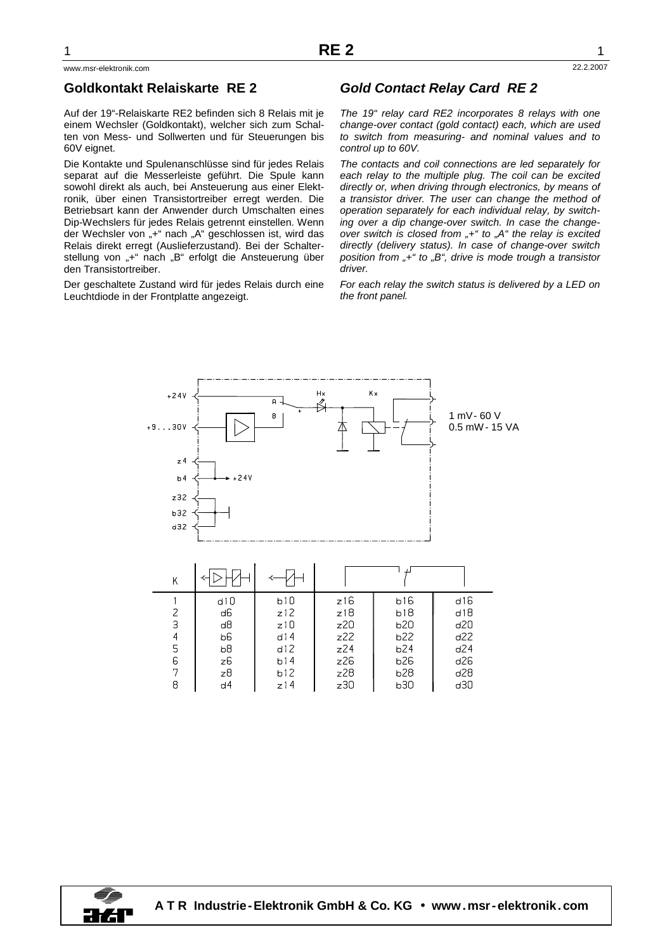## **Goldkontakt Relaiskarte RE 2**

Auf der 19"-Relaiskarte RE2 befinden sich 8 Relais mit je einem Wechsler (Goldkontakt), welcher sich zum Schalten von Mess- und Sollwerten und für Steuerungen bis 60V eignet.

Die Kontakte und Spulenanschlüsse sind für jedes Relais separat auf die Messerleiste geführt. Die Spule kann sowohl direkt als auch, bei Ansteuerung aus einer Elektronik, über einen Transistortreiber erregt werden. Die Betriebsart kann der Anwender durch Umschalten eines Dip-Wechslers für jedes Relais getrennt einstellen. Wenn der Wechsler von "+" nach "A" geschlossen ist, wird das Relais direkt erregt (Auslieferzustand). Bei der Schalterstellung von "+" nach "B" erfolgt die Ansteuerung über den Transistortreiber.

Der geschaltete Zustand wird für jedes Relais durch eine Leuchtdiode in der Frontplatte angezeigt.

## **Gold Contact Relay Card RE 2**

The 19" relay card RE2 incorporates 8 relays with one change-over contact (gold contact) each, which are used to switch from measuring- and nominal values and to control up to 60V.

The contacts and coil connections are led separately for each relay to the multiple plug. The coil can be excited directly or, when driving through electronics, by means of a transistor driver. The user can change the method of operation separately for each individual relay, by switching over a dip change-over switch. In case the changeover switch is closed from  $+$ " to  $A$ " the relay is excited directly (delivery status). In case of change-over switch position from  $*$  +" to  $*$ , B", drive is mode trough a transistor driver

For each relay the switch status is delivered by a LED on the front panel.